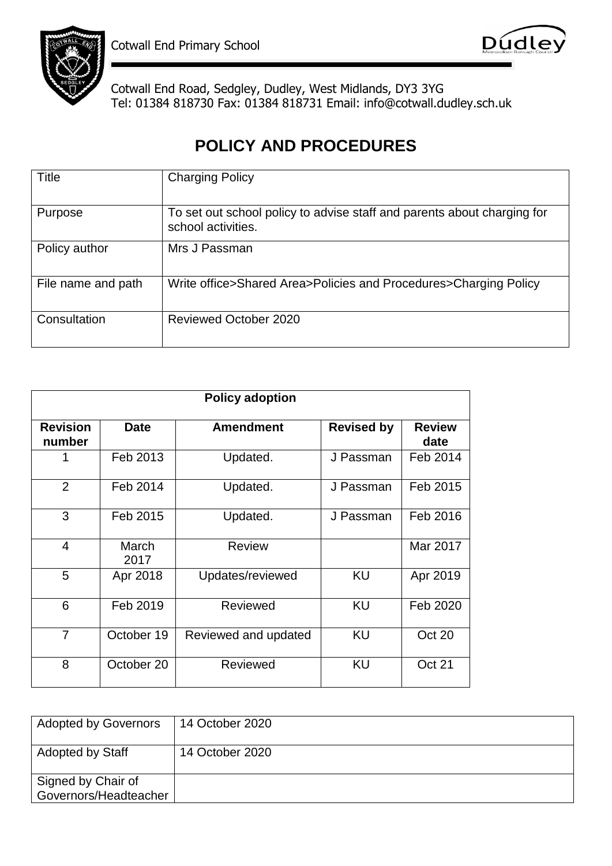



Cotwall End Road, Sedgley, Dudley, West Midlands, DY3 3YG Tel: 01384 818730 Fax: 01384 818731 Email: info@cotwall.dudley.sch.uk

## **POLICY AND PROCEDURES**

| Title              | <b>Charging Policy</b>                                                                        |
|--------------------|-----------------------------------------------------------------------------------------------|
| Purpose            | To set out school policy to advise staff and parents about charging for<br>school activities. |
| Policy author      | Mrs J Passman                                                                                 |
| File name and path | Write office>Shared Area>Policies and Procedures>Charging Policy                              |
| Consultation       | <b>Reviewed October 2020</b>                                                                  |

| <b>Policy adoption</b>    |               |                      |                   |                       |  |
|---------------------------|---------------|----------------------|-------------------|-----------------------|--|
| <b>Revision</b><br>number | <b>Date</b>   | <b>Amendment</b>     | <b>Revised by</b> | <b>Review</b><br>date |  |
|                           | Feb 2013      | Updated.             | J Passman         | Feb 2014              |  |
| 2                         | Feb 2014      | Updated.             | J Passman         | Feb 2015              |  |
| 3                         | Feb 2015      | Updated.             | J Passman         | Feb 2016              |  |
| 4                         | March<br>2017 | <b>Review</b>        |                   | Mar 2017              |  |
| 5                         | Apr 2018      | Updates/reviewed     | KU                | Apr 2019              |  |
| 6                         | Feb 2019      | Reviewed             | KU                | Feb 2020              |  |
| $\overline{7}$            | October 19    | Reviewed and updated | KU                | Oct 20                |  |
| 8                         | October 20    | Reviewed             | KU                | Oct 21                |  |

| <b>Adopted by Governors</b>                 | 14 October 2020 |
|---------------------------------------------|-----------------|
| <b>Adopted by Staff</b>                     | 14 October 2020 |
| Signed by Chair of<br>Governors/Headteacher |                 |